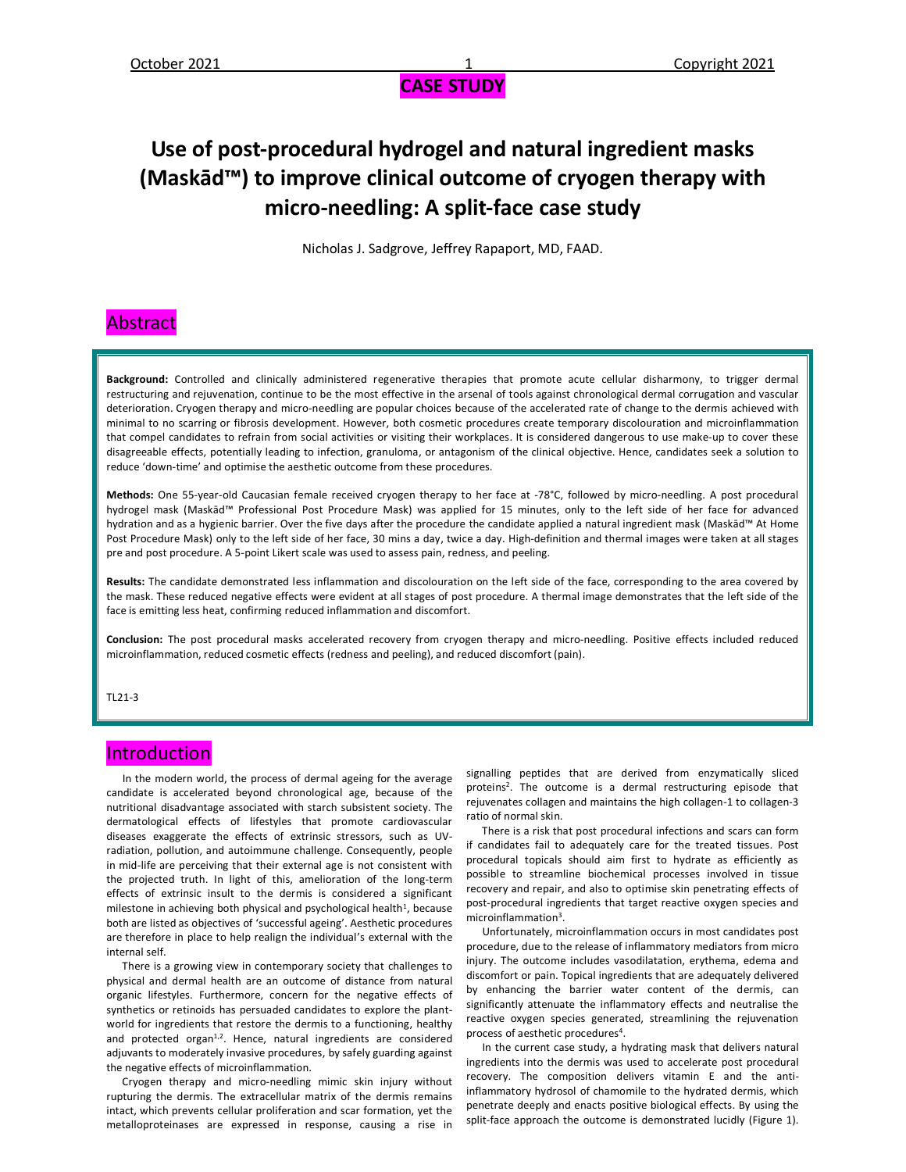# **Use of post-procedural hydrogel and natural ingredient masks (Maskād™) to improve clinical outcome of cryogen therapy with micro-needling: A split-face case study**

Nicholas J. Sadgrove, Jeffrey Rapaport, MD, FAAD.

#### Abstract

**Background:** Controlled and clinically administered regenerative therapies that promote acute cellular disharmony, to trigger dermal restructuring and rejuvenation, continue to be the most effective in the arsenal of tools against chronological dermal corrugation and vascular deterioration. Cryogen therapy and micro-needling are popular choices because of the accelerated rate of change to the dermis achieved with minimal to no scarring or fibrosis development. However, both cosmetic procedures create temporary discolouration and microinflammation that compel candidates to refrain from social activities or visiting their workplaces. It is considered dangerous to use make-up to cover these disagreeable effects, potentially leading to infection, granuloma, or antagonism of the clinical objective. Hence, candidates seek a solution to reduce 'down-time' and optimise the aesthetic outcome from these procedures.

**Methods:** One 55-year-old Caucasian female received cryogen therapy to her face at -78°C, followed by micro-needling. A post procedural hydrogel mask (Maskād™ Professional Post Procedure Mask) was applied for 15 minutes, only to the left side of her face for advanced hydration and as a hygienic barrier. Over the five days after the procedure the candidate applied a natural ingredient mask (Maskād™ At Home Post Procedure Mask) only to the left side of her face, 30 mins a day, twice a day. High-definition and thermal images were taken at all stages pre and post procedure. A 5-point Likert scale was used to assess pain, redness, and peeling.

**Results:** The candidate demonstrated less inflammation and discolouration on the left side of the face, corresponding to the area covered by the mask. These reduced negative effects were evident at all stages of post procedure. A thermal image demonstrates that the left side of the face is emitting less heat, confirming reduced inflammation and discomfort.

**Conclusion:** The post procedural masks accelerated recovery from cryogen therapy and micro-needling. Positive effects included reduced microinflammation, reduced cosmetic effects (redness and peeling), and reduced discomfort (pain).

TI 21-3

#### **Introduction**

 In the modern world, the process of dermal ageing for the average candidate is accelerated beyond chronological age, because of the nutritional disadvantage associated with starch subsistent society. The dermatological effects of lifestyles that promote cardiovascular diseases exaggerate the effects of extrinsic stressors, such as UVradiation, pollution, and autoimmune challenge. Consequently, people in mid-life are perceiving that their external age is not consistent with the projected truth. In light of this, amelioration of the long-term effects of extrinsic insult to the dermis is considered a significant milestone in achieving both physical and psychological health<sup>1</sup>, because both are listed as objectives of 'successful ageing'. Aesthetic procedures are therefore in place to help realign the individual's external with the internal self.

 There is a growing view in contemporary society that challenges to physical and dermal health are an outcome of distance from natural organic lifestyles. Furthermore, concern for the negative effects of synthetics or retinoids has persuaded candidates to explore the plantworld for ingredients that restore the dermis to a functioning, healthy and protected organ<sup>1,2</sup>. Hence, natural ingredients are considered adjuvants to moderately invasive procedures, by safely guarding against the negative effects of microinflammation.

 Cryogen therapy and micro-needling mimic skin injury without rupturing the dermis. The extracellular matrix of the dermis remains intact, which prevents cellular proliferation and scar formation, yet the metalloproteinases are expressed in response, causing a rise in

signalling peptides that are derived from enzymatically sliced proteins<sup>2</sup>. The outcome is a dermal restructuring episode that rejuvenates collagen and maintains the high collagen-1 to collagen-3 ratio of normal skin.

 There is a risk that post procedural infections and scars can form if candidates fail to adequately care for the treated tissues. Post procedural topicals should aim first to hydrate as efficiently as possible to streamline biochemical processes involved in tissue recovery and repair, and also to optimise skin penetrating effects of post-procedural ingredients that target reactive oxygen species and microinflammation<sup>3</sup>.

 Unfortunately, microinflammation occurs in most candidates post procedure, due to the release of inflammatory mediators from micro injury. The outcome includes vasodilatation, erythema, edema and discomfort or pain. Topical ingredients that are adequately delivered by enhancing the barrier water content of the dermis, can significantly attenuate the inflammatory effects and neutralise the reactive oxygen species generated, streamlining the rejuvenation process of aesthetic procedures<sup>4</sup>.

 In the current case study, a hydrating mask that delivers natural ingredients into the dermis was used to accelerate post procedural recovery. The composition delivers vitamin E and the antiinflammatory hydrosol of chamomile to the hydrated dermis, which penetrate deeply and enacts positive biological effects. By using the split-face approach the outcome is demonstrated lucidly (Figure 1).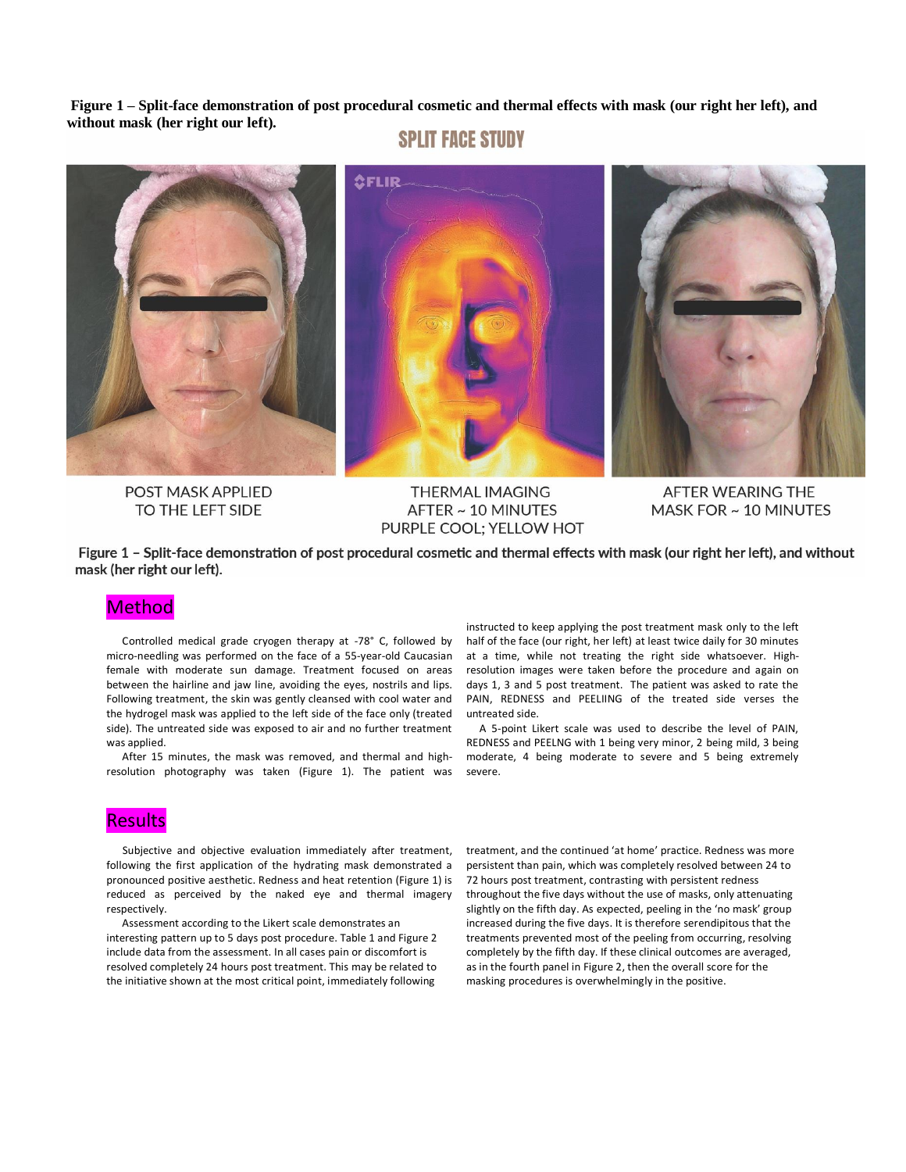**Figure 1 – Split-face demonstration of post procedural cosmetic and thermal effects with mask (our right her left), and without mask (her right our left).** 

### **SPLIT FACE STUDY**



POST MASK APPLIED TO THE LEFT SIDE

**THERMAL IMAGING** AFTER ~ 10 MINUTES PURPLE COOL; YELLOW HOT

AFTER WEARING THE MASK FOR ~ 10 MINUTES

Figure 1 - Split-face demonstration of post procedural cosmetic and thermal effects with mask (our right her left), and without mask (her right our left).

#### **Method**

 Controlled medical grade cryogen therapy at -78° C, followed by micro-needling was performed on the face of a 55-year-old Caucasian female with moderate sun damage. Treatment focused on areas between the hairline and jaw line, avoiding the eyes, nostrils and lips. Following treatment, the skin was gently cleansed with cool water and the hydrogel mask was applied to the left side of the face only (treated side). The untreated side was exposed to air and no further treatment was applied.

 After 15 minutes, the mask was removed, and thermal and highresolution photography was taken (Figure 1). The patient was

#### **Results**

 Subjective and objective evaluation immediately after treatment, following the first application of the hydrating mask demonstrated a pronounced positive aesthetic. Redness and heat retention (Figure 1) is reduced as perceived by the naked eye and thermal imagery respectively.

 Assessment according to the Likert scale demonstrates an interesting pattern up to 5 days post procedure. Table 1 and Figure 2 include data from the assessment. In all cases pain or discomfort is resolved completely 24 hours post treatment. This may be related to the initiative shown at the most critical point, immediately following

instructed to keep applying the post treatment mask only to the left half of the face (our right, her left) at least twice daily for 30 minutes at a time, while not treating the right side whatsoever. Highresolution images were taken before the procedure and again on days 1, 3 and 5 post treatment. The patient was asked to rate the PAIN, REDNESS and PEELIING of the treated side verses the untreated side.

 A 5-point Likert scale was used to describe the level of PAIN, REDNESS and PEELNG with 1 being very minor, 2 being mild, 3 being moderate, 4 being moderate to severe and 5 being extremely severe.

treatment, and the continued 'at home' practice. Redness was more persistent than pain, which was completely resolved between 24 to 72 hours post treatment, contrasting with persistent redness throughout the five days without the use of masks, only attenuating slightly on the fifth day. As expected, peeling in the 'no mask' group increased during the five days. It is therefore serendipitous that the treatments prevented most of the peeling from occurring, resolving completely by the fifth day. If these clinical outcomes are averaged, as in the fourth panel in Figure 2, then the overall score for the masking procedures is overwhelmingly in the positive.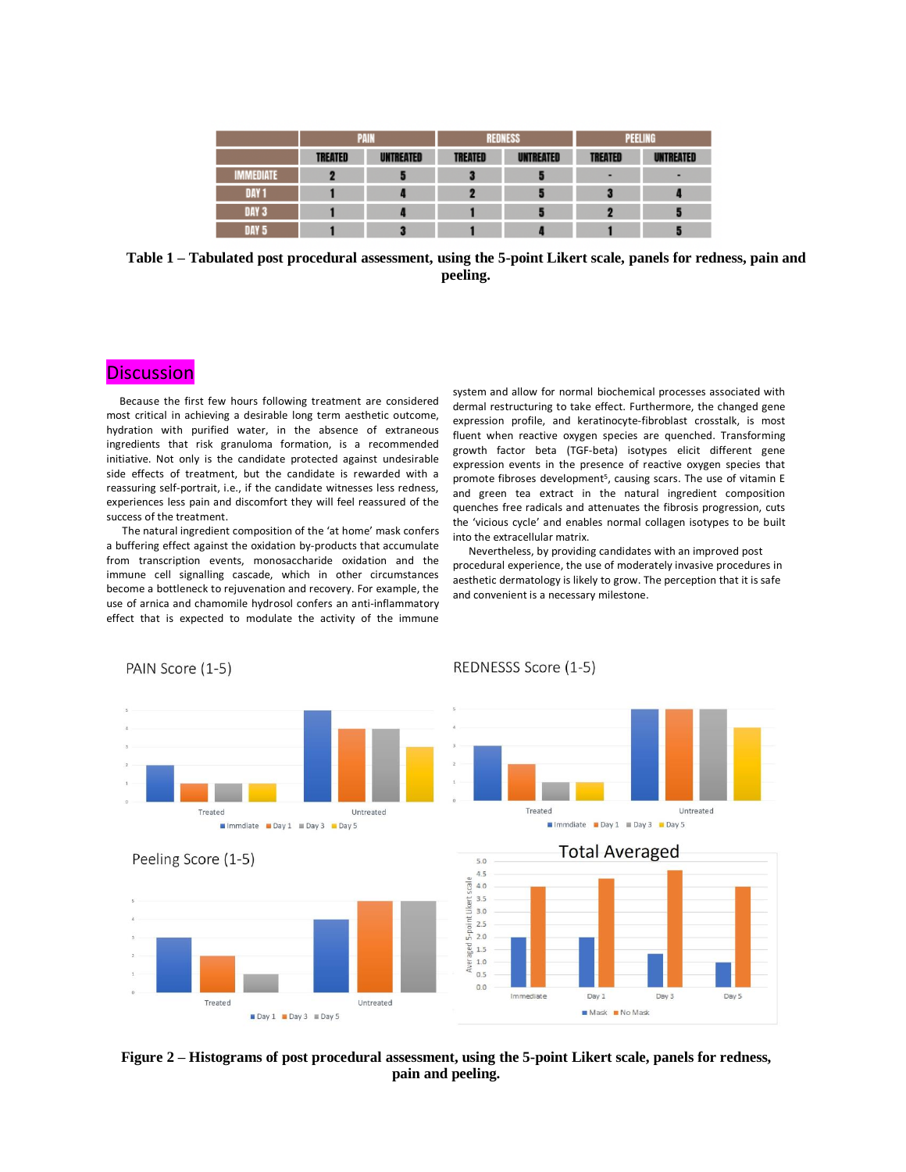|                  | <b>PAIN</b>    |                  | <b>REDNESS</b> |                  | PEELING        |           |
|------------------|----------------|------------------|----------------|------------------|----------------|-----------|
|                  | <b>TREATED</b> | <b>UNTREATED</b> | <b>TREATED</b> | <b>UNTREATED</b> | <b>TREATED</b> | UNTREATED |
| MMEDIATE         |                |                  |                |                  |                |           |
| DAY <sub>1</sub> |                |                  |                |                  |                |           |
| DAY 3            |                |                  |                |                  |                |           |
| DAY 5            |                |                  |                |                  |                |           |

**Table 1 – Tabulated post procedural assessment, using the 5-point Likert scale, panels for redness, pain and peeling.**

#### **Discussion** I

PAIN Score (1-5)

 Because the first few hours following treatment are considered most critical in achieving a desirable long term aesthetic outcome, hydration with purified water, in the absence of extraneous ingredients that risk granuloma formation, is a recommended initiative. Not only is the candidate protected against undesirable side effects of treatment, but the candidate is rewarded with a reassuring self-portrait, i.e., if the candidate witnesses less redness, experiences less pain and discomfort they will feel reassured of the success of the treatment.

 The natural ingredient composition of the 'at home' mask confers a buffering effect against the oxidation by-products that accumulate from transcription events, monosaccharide oxidation and the immune cell signalling cascade, which in other circumstances become a bottleneck to rejuvenation and recovery. For example, the use of arnica and chamomile hydrosol confers an anti-inflammatory effect that is expected to modulate the activity of the immune

system and allow for normal biochemical processes associated with dermal restructuring to take effect. Furthermore, the changed gene expression profile, and keratinocyte-fibroblast crosstalk, is most fluent when reactive oxygen species are quenched. Transforming growth factor beta (TGF-beta) isotypes elicit different gene expression events in the presence of reactive oxygen species that promote fibroses development<sup>5</sup>, causing scars. The use of vitamin E and green tea extract in the natural ingredient composition quenches free radicals and attenuates the fibrosis progression, cuts the 'vicious cycle' and enables normal collagen isotypes to be built into the extracellular matrix.

 Nevertheless, by providing candidates with an improved post procedural experience, the use of moderately invasive procedures in aesthetic dermatology is likely to grow. The perception that it is safe and convenient is a necessary milestone.



REDNESSS Score (1-5)

**Figure 2 – Histograms of post procedural assessment, using the 5-point Likert scale, panels for redness, pain and peeling.**